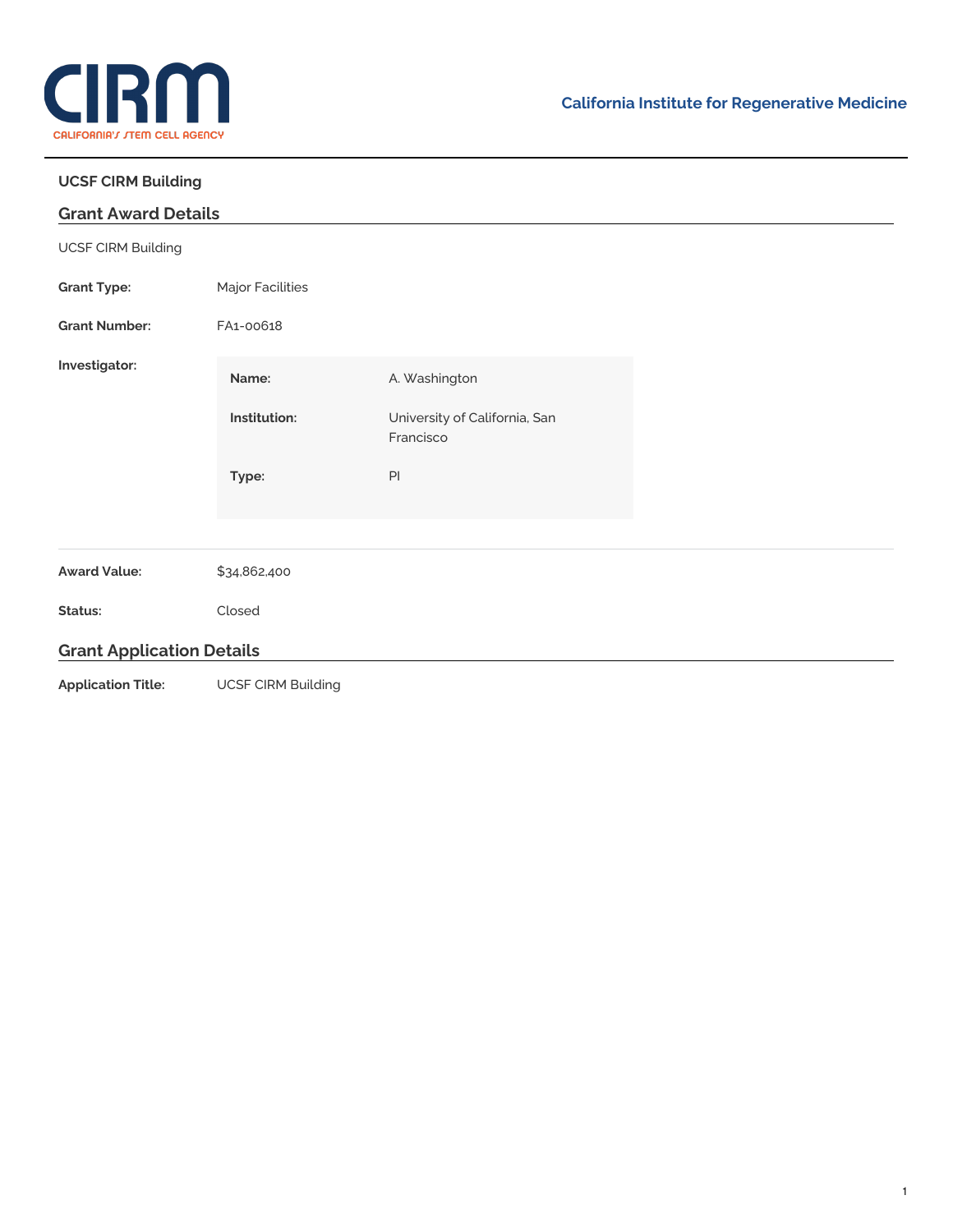

÷,

## **UCSF CIRM Building**

| <b>Grant Award Details</b>       |                           |                                            |  |
|----------------------------------|---------------------------|--------------------------------------------|--|
| <b>UCSF CIRM Building</b>        |                           |                                            |  |
| <b>Grant Type:</b>               | Major Facilities          |                                            |  |
| <b>Grant Number:</b>             | FA1-00618                 |                                            |  |
| Investigator:                    | Name:                     | A. Washington                              |  |
|                                  | Institution:              | University of California, San<br>Francisco |  |
|                                  | Type:                     | $\mathsf{Pl}$                              |  |
| <b>Award Value:</b>              | \$34,862,400              |                                            |  |
| Status:                          | Closed                    |                                            |  |
| <b>Grant Application Details</b> |                           |                                            |  |
| <b>Application Title:</b>        | <b>UCSF CIRM Building</b> |                                            |  |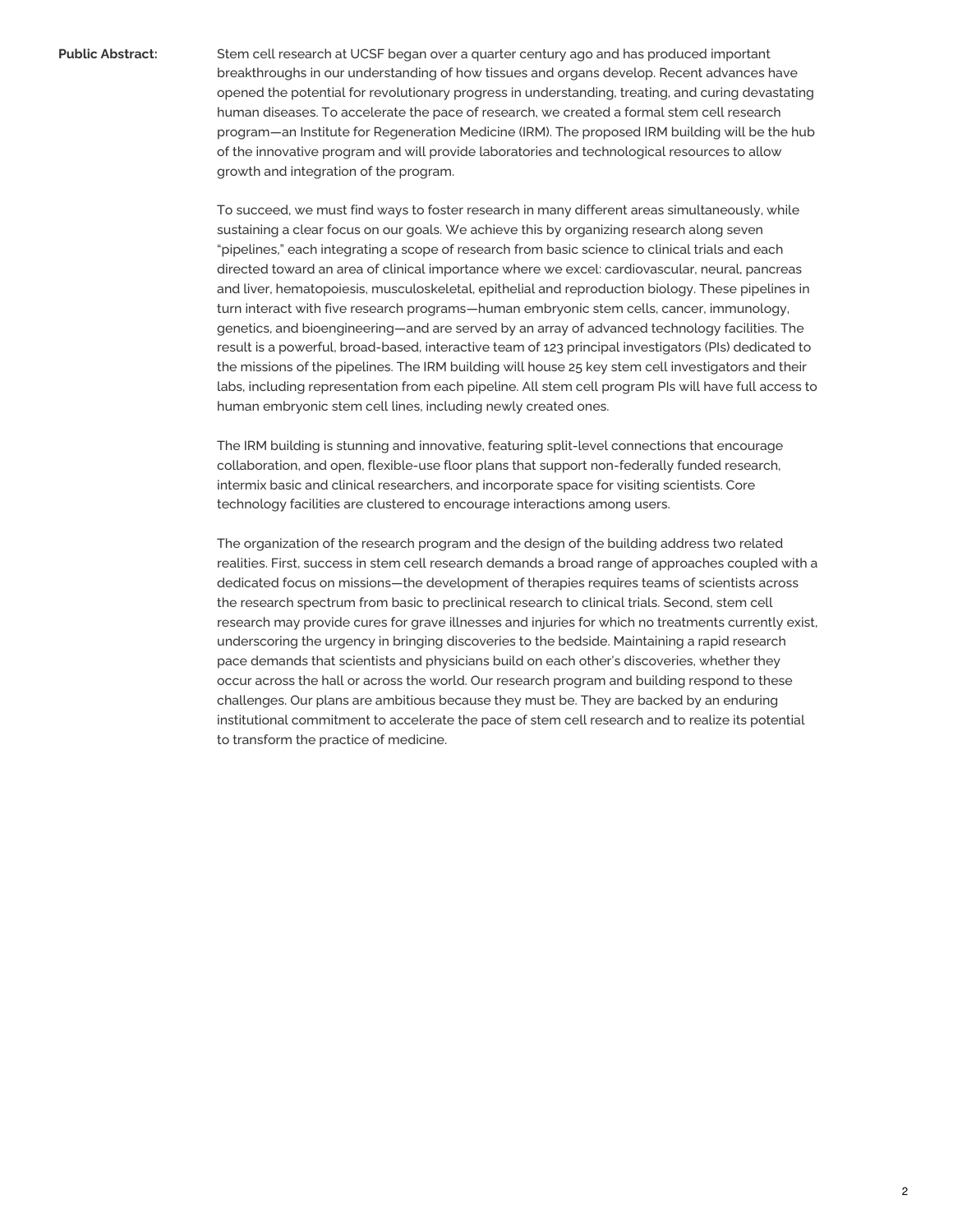**Public Abstract:** Stem cell research at UCSF began over a quarter century ago and has produced important breakthroughs in our understanding of how tissues and organs develop. Recent advances have opened the potential for revolutionary progress in understanding, treating, and curing devastating human diseases. To accelerate the pace of research, we created a formal stem cell research program—an Institute for Regeneration Medicine (IRM). The proposed IRM building will be the hub of the innovative program and will provide laboratories and technological resources to allow growth and integration of the program.

> To succeed, we must find ways to foster research in many different areas simultaneously, while sustaining a clear focus on our goals. We achieve this by organizing research along seven "pipelines," each integrating a scope of research from basic science to clinical trials and each directed toward an area of clinical importance where we excel: cardiovascular, neural, pancreas and liver, hematopoiesis, musculoskeletal, epithelial and reproduction biology. These pipelines in turn interact with five research programs—human embryonic stem cells, cancer, immunology, genetics, and bioengineering—and are served by an array of advanced technology facilities. The result is a powerful, broad-based, interactive team of 123 principal investigators (PIs) dedicated to the missions of the pipelines. The IRM building will house 25 key stem cell investigators and their labs, including representation from each pipeline. All stem cell program PIs will have full access to human embryonic stem cell lines, including newly created ones.

The IRM building is stunning and innovative, featuring split-level connections that encourage collaboration, and open, flexible-use floor plans that support non-federally funded research, intermix basic and clinical researchers, and incorporate space for visiting scientists. Core technology facilities are clustered to encourage interactions among users.

The organization of the research program and the design of the building address two related realities. First, success in stem cell research demands a broad range of approaches coupled with a dedicated focus on missions—the development of therapies requires teams of scientists across the research spectrum from basic to preclinical research to clinical trials. Second, stem cell research may provide cures for grave illnesses and injuries for which no treatments currently exist, underscoring the urgency in bringing discoveries to the bedside. Maintaining a rapid research pace demands that scientists and physicians build on each other's discoveries, whether they occur across the hall or across the world. Our research program and building respond to these challenges. Our plans are ambitious because they must be. They are backed by an enduring institutional commitment to accelerate the pace of stem cell research and to realize its potential to transform the practice of medicine.